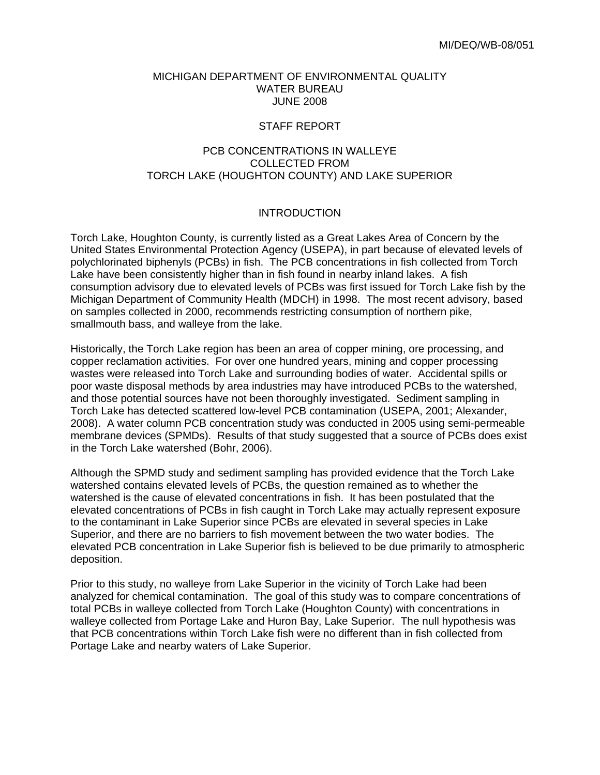#### MICHIGAN DEPARTMENT OF ENVIRONMENTAL QUALITY WATER BUREAU JUNE 2008

#### STAFF REPORT

# PCB CONCENTRATIONS IN WALLEYE COLLECTED FROM TORCH LAKE (HOUGHTON COUNTY) AND LAKE SUPERIOR

## INTRODUCTION

Torch Lake, Houghton County, is currently listed as a Great Lakes Area of Concern by the United States Environmental Protection Agency (USEPA), in part because of elevated levels of polychlorinated biphenyls (PCBs) in fish. The PCB concentrations in fish collected from Torch Lake have been consistently higher than in fish found in nearby inland lakes. A fish consumption advisory due to elevated levels of PCBs was first issued for Torch Lake fish by the Michigan Department of Community Health (MDCH) in 1998. The most recent advisory, based on samples collected in 2000, recommends restricting consumption of northern pike, smallmouth bass, and walleye from the lake.

Historically, the Torch Lake region has been an area of copper mining, ore processing, and copper reclamation activities. For over one hundred years, mining and copper processing wastes were released into Torch Lake and surrounding bodies of water. Accidental spills or poor waste disposal methods by area industries may have introduced PCBs to the watershed, and those potential sources have not been thoroughly investigated. Sediment sampling in Torch Lake has detected scattered low-level PCB contamination (USEPA, 2001; Alexander, 2008). A water column PCB concentration study was conducted in 2005 using semi-permeable membrane devices (SPMDs). Results of that study suggested that a source of PCBs does exist in the Torch Lake watershed (Bohr, 2006).

Although the SPMD study and sediment sampling has provided evidence that the Torch Lake watershed contains elevated levels of PCBs, the question remained as to whether the watershed is the cause of elevated concentrations in fish. It has been postulated that the elevated concentrations of PCBs in fish caught in Torch Lake may actually represent exposure to the contaminant in Lake Superior since PCBs are elevated in several species in Lake Superior, and there are no barriers to fish movement between the two water bodies. The elevated PCB concentration in Lake Superior fish is believed to be due primarily to atmospheric deposition.

Prior to this study, no walleye from Lake Superior in the vicinity of Torch Lake had been analyzed for chemical contamination. The goal of this study was to compare concentrations of total PCBs in walleye collected from Torch Lake (Houghton County) with concentrations in walleye collected from Portage Lake and Huron Bay, Lake Superior. The null hypothesis was that PCB concentrations within Torch Lake fish were no different than in fish collected from Portage Lake and nearby waters of Lake Superior.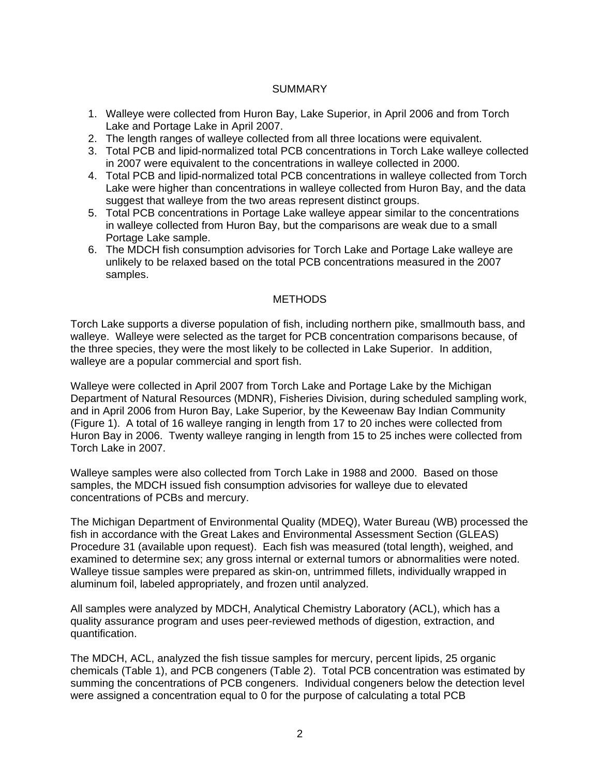## SUMMARY

- 1. Walleye were collected from Huron Bay, Lake Superior, in April 2006 and from Torch Lake and Portage Lake in April 2007.
- 2. The length ranges of walleye collected from all three locations were equivalent.
- 3. Total PCB and lipid-normalized total PCB concentrations in Torch Lake walleye collected in 2007 were equivalent to the concentrations in walleye collected in 2000.
- 4. Total PCB and lipid-normalized total PCB concentrations in walleye collected from Torch Lake were higher than concentrations in walleye collected from Huron Bay, and the data suggest that walleye from the two areas represent distinct groups.
- 5. Total PCB concentrations in Portage Lake walleye appear similar to the concentrations in walleye collected from Huron Bay, but the comparisons are weak due to a small Portage Lake sample.
- 6. The MDCH fish consumption advisories for Torch Lake and Portage Lake walleye are unlikely to be relaxed based on the total PCB concentrations measured in the 2007 samples.

## METHODS

Torch Lake supports a diverse population of fish, including northern pike, smallmouth bass, and walleye. Walleye were selected as the target for PCB concentration comparisons because, of the three species, they were the most likely to be collected in Lake Superior. In addition, walleye are a popular commercial and sport fish.

Walleye were collected in April 2007 from Torch Lake and Portage Lake by the Michigan Department of Natural Resources (MDNR), Fisheries Division, during scheduled sampling work, and in April 2006 from Huron Bay, Lake Superior, by the Keweenaw Bay Indian Community (Figure 1). A total of 16 walleye ranging in length from 17 to 20 inches were collected from Huron Bay in 2006. Twenty walleye ranging in length from 15 to 25 inches were collected from Torch Lake in 2007.

Walleye samples were also collected from Torch Lake in 1988 and 2000. Based on those samples, the MDCH issued fish consumption advisories for walleye due to elevated concentrations of PCBs and mercury.

The Michigan Department of Environmental Quality (MDEQ), Water Bureau (WB) processed the fish in accordance with the Great Lakes and Environmental Assessment Section (GLEAS) Procedure 31 (available upon request). Each fish was measured (total length), weighed, and examined to determine sex; any gross internal or external tumors or abnormalities were noted. Walleye tissue samples were prepared as skin-on, untrimmed fillets, individually wrapped in aluminum foil, labeled appropriately, and frozen until analyzed.

All samples were analyzed by MDCH, Analytical Chemistry Laboratory (ACL), which has a quality assurance program and uses peer-reviewed methods of digestion, extraction, and quantification.

The MDCH, ACL, analyzed the fish tissue samples for mercury, percent lipids, 25 organic chemicals (Table 1), and PCB congeners (Table 2). Total PCB concentration was estimated by summing the concentrations of PCB congeners. Individual congeners below the detection level were assigned a concentration equal to 0 for the purpose of calculating a total PCB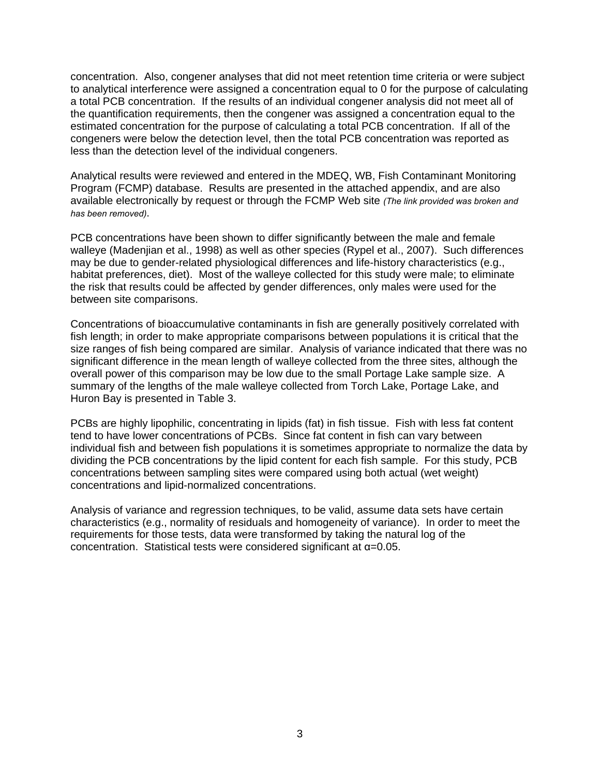concentration. Also, congener analyses that did not meet retention time criteria or were subject to analytical interference were assigned a concentration equal to 0 for the purpose of calculating a total PCB concentration. If the results of an individual congener analysis did not meet all of the quantification requirements, then the congener was assigned a concentration equal to the estimated concentration for the purpose of calculating a total PCB concentration. If all of the congeners were below the detection level, then the total PCB concentration was reported as less than the detection level of the individual congeners.

Analytical results were reviewed and entered in the MDEQ, WB, Fish Contaminant Monitoring Program (FCMP) database. Results are presented in the attached appendix, and are also available electronically by request or through the FCMP Web site *(The link provided was broken and has been removed)*.

PCB concentrations have been shown to differ significantly between the male and female walleye (Madenjian et al., 1998) as well as other species (Rypel et al., 2007). Such differences may be due to gender-related physiological differences and life-history characteristics (e.g., habitat preferences, diet). Most of the walleye collected for this study were male; to eliminate the risk that results could be affected by gender differences, only males were used for the between site comparisons.

Concentrations of bioaccumulative contaminants in fish are generally positively correlated with fish length; in order to make appropriate comparisons between populations it is critical that the size ranges of fish being compared are similar. Analysis of variance indicated that there was no significant difference in the mean length of walleye collected from the three sites, although the overall power of this comparison may be low due to the small Portage Lake sample size. A summary of the lengths of the male walleye collected from Torch Lake, Portage Lake, and Huron Bay is presented in Table 3.

PCBs are highly lipophilic, concentrating in lipids (fat) in fish tissue. Fish with less fat content tend to have lower concentrations of PCBs. Since fat content in fish can vary between individual fish and between fish populations it is sometimes appropriate to normalize the data by dividing the PCB concentrations by the lipid content for each fish sample. For this study, PCB concentrations between sampling sites were compared using both actual (wet weight) concentrations and lipid-normalized concentrations.

Analysis of variance and regression techniques, to be valid, assume data sets have certain characteristics (e.g., normality of residuals and homogeneity of variance). In order to meet the requirements for those tests, data were transformed by taking the natural log of the concentration. Statistical tests were considered significant at α=0.05.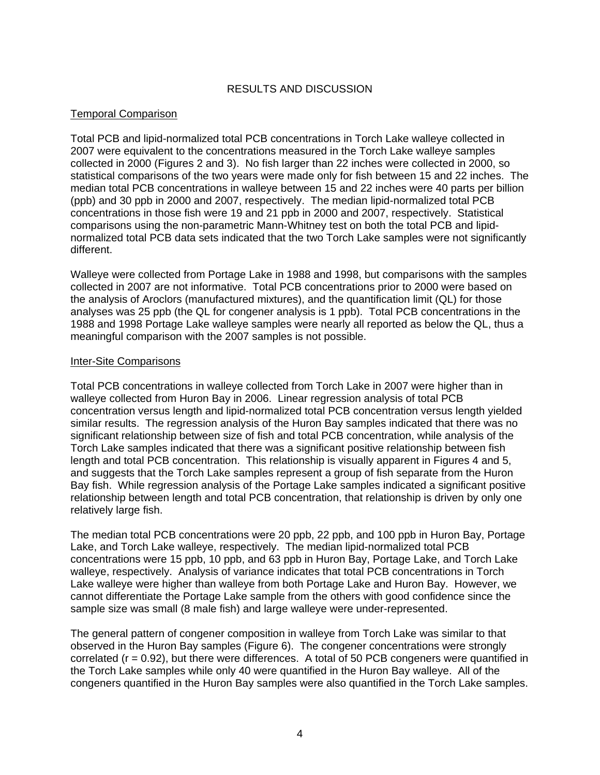# RESULTS AND DISCUSSION

# Temporal Comparison

Total PCB and lipid-normalized total PCB concentrations in Torch Lake walleye collected in 2007 were equivalent to the concentrations measured in the Torch Lake walleye samples collected in 2000 (Figures 2 and 3). No fish larger than 22 inches were collected in 2000, so statistical comparisons of the two years were made only for fish between 15 and 22 inches. The median total PCB concentrations in walleye between 15 and 22 inches were 40 parts per billion (ppb) and 30 ppb in 2000 and 2007, respectively. The median lipid-normalized total PCB concentrations in those fish were 19 and 21 ppb in 2000 and 2007, respectively. Statistical comparisons using the non-parametric Mann-Whitney test on both the total PCB and lipidnormalized total PCB data sets indicated that the two Torch Lake samples were not significantly different.

Walleye were collected from Portage Lake in 1988 and 1998, but comparisons with the samples collected in 2007 are not informative. Total PCB concentrations prior to 2000 were based on the analysis of Aroclors (manufactured mixtures), and the quantification limit (QL) for those analyses was 25 ppb (the QL for congener analysis is 1 ppb). Total PCB concentrations in the 1988 and 1998 Portage Lake walleye samples were nearly all reported as below the QL, thus a meaningful comparison with the 2007 samples is not possible.

## Inter-Site Comparisons

Total PCB concentrations in walleye collected from Torch Lake in 2007 were higher than in walleye collected from Huron Bay in 2006. Linear regression analysis of total PCB concentration versus length and lipid-normalized total PCB concentration versus length yielded similar results. The regression analysis of the Huron Bay samples indicated that there was no significant relationship between size of fish and total PCB concentration, while analysis of the Torch Lake samples indicated that there was a significant positive relationship between fish length and total PCB concentration. This relationship is visually apparent in Figures 4 and 5, and suggests that the Torch Lake samples represent a group of fish separate from the Huron Bay fish. While regression analysis of the Portage Lake samples indicated a significant positive relationship between length and total PCB concentration, that relationship is driven by only one relatively large fish.

The median total PCB concentrations were 20 ppb, 22 ppb, and 100 ppb in Huron Bay, Portage Lake, and Torch Lake walleye, respectively. The median lipid-normalized total PCB concentrations were 15 ppb, 10 ppb, and 63 ppb in Huron Bay, Portage Lake, and Torch Lake walleye, respectively. Analysis of variance indicates that total PCB concentrations in Torch Lake walleye were higher than walleye from both Portage Lake and Huron Bay. However, we cannot differentiate the Portage Lake sample from the others with good confidence since the sample size was small (8 male fish) and large walleye were under-represented.

The general pattern of congener composition in walleye from Torch Lake was similar to that observed in the Huron Bay samples (Figure 6). The congener concentrations were strongly correlated ( $r = 0.92$ ), but there were differences. A total of 50 PCB congeners were quantified in the Torch Lake samples while only 40 were quantified in the Huron Bay walleye. All of the congeners quantified in the Huron Bay samples were also quantified in the Torch Lake samples.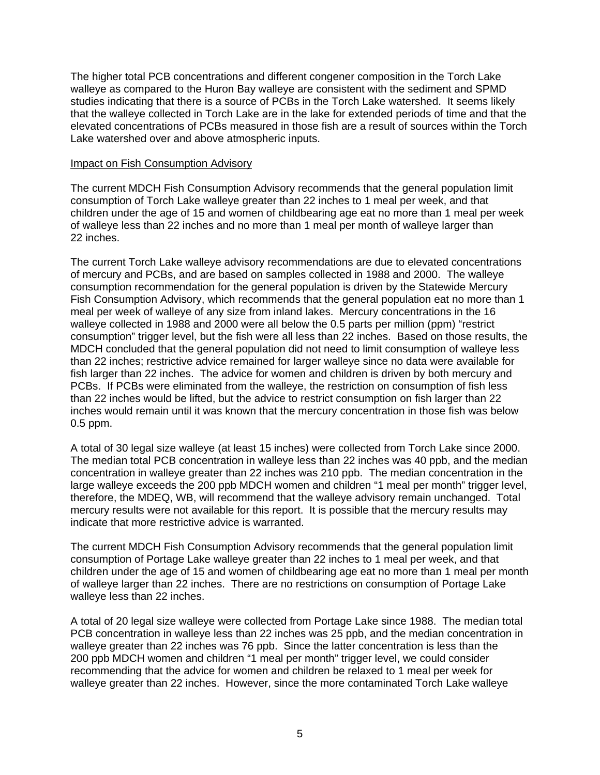The higher total PCB concentrations and different congener composition in the Torch Lake walleye as compared to the Huron Bay walleye are consistent with the sediment and SPMD studies indicating that there is a source of PCBs in the Torch Lake watershed. It seems likely that the walleye collected in Torch Lake are in the lake for extended periods of time and that the elevated concentrations of PCBs measured in those fish are a result of sources within the Torch Lake watershed over and above atmospheric inputs.

#### Impact on Fish Consumption Advisory

The current MDCH Fish Consumption Advisory recommends that the general population limit consumption of Torch Lake walleye greater than 22 inches to 1 meal per week, and that children under the age of 15 and women of childbearing age eat no more than 1 meal per week of walleye less than 22 inches and no more than 1 meal per month of walleye larger than 22 inches.

The current Torch Lake walleye advisory recommendations are due to elevated concentrations of mercury and PCBs, and are based on samples collected in 1988 and 2000. The walleye consumption recommendation for the general population is driven by the Statewide Mercury Fish Consumption Advisory, which recommends that the general population eat no more than 1 meal per week of walleye of any size from inland lakes. Mercury concentrations in the 16 walleye collected in 1988 and 2000 were all below the 0.5 parts per million (ppm) "restrict consumption" trigger level, but the fish were all less than 22 inches. Based on those results, the MDCH concluded that the general population did not need to limit consumption of walleye less than 22 inches; restrictive advice remained for larger walleye since no data were available for fish larger than 22 inches. The advice for women and children is driven by both mercury and PCBs. If PCBs were eliminated from the walleye, the restriction on consumption of fish less than 22 inches would be lifted, but the advice to restrict consumption on fish larger than 22 inches would remain until it was known that the mercury concentration in those fish was below 0.5 ppm.

A total of 30 legal size walleye (at least 15 inches) were collected from Torch Lake since 2000. The median total PCB concentration in walleye less than 22 inches was 40 ppb, and the median concentration in walleye greater than 22 inches was 210 ppb. The median concentration in the large walleye exceeds the 200 ppb MDCH women and children "1 meal per month" trigger level, therefore, the MDEQ, WB, will recommend that the walleye advisory remain unchanged. Total mercury results were not available for this report. It is possible that the mercury results may indicate that more restrictive advice is warranted.

The current MDCH Fish Consumption Advisory recommends that the general population limit consumption of Portage Lake walleye greater than 22 inches to 1 meal per week, and that children under the age of 15 and women of childbearing age eat no more than 1 meal per month of walleye larger than 22 inches. There are no restrictions on consumption of Portage Lake walleye less than 22 inches.

A total of 20 legal size walleye were collected from Portage Lake since 1988. The median total PCB concentration in walleye less than 22 inches was 25 ppb, and the median concentration in walleye greater than 22 inches was 76 ppb. Since the latter concentration is less than the 200 ppb MDCH women and children "1 meal per month" trigger level, we could consider recommending that the advice for women and children be relaxed to 1 meal per week for walleye greater than 22 inches. However, since the more contaminated Torch Lake walleye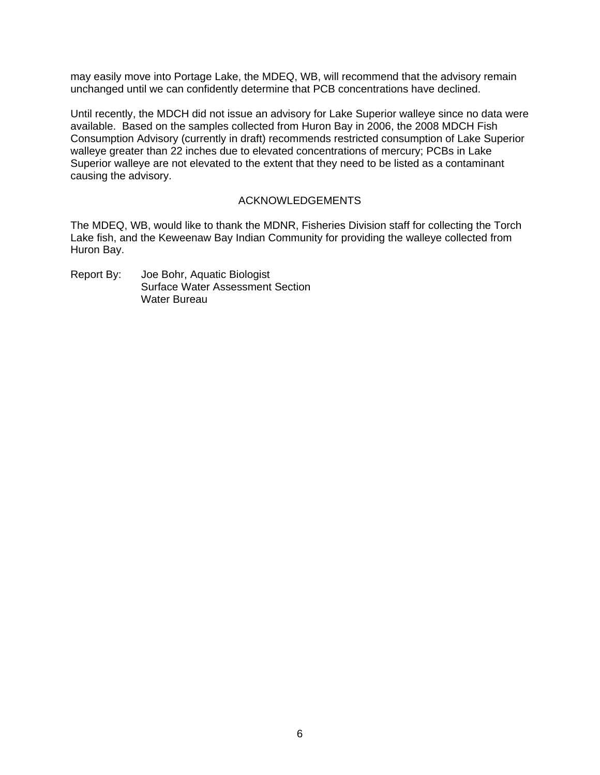may easily move into Portage Lake, the MDEQ, WB, will recommend that the advisory remain unchanged until we can confidently determine that PCB concentrations have declined.

Until recently, the MDCH did not issue an advisory for Lake Superior walleye since no data were available. Based on the samples collected from Huron Bay in 2006, the 2008 MDCH Fish Consumption Advisory (currently in draft) recommends restricted consumption of Lake Superior walleye greater than 22 inches due to elevated concentrations of mercury; PCBs in Lake Superior walleye are not elevated to the extent that they need to be listed as a contaminant causing the advisory.

## ACKNOWLEDGEMENTS

The MDEQ, WB, would like to thank the MDNR, Fisheries Division staff for collecting the Torch Lake fish, and the Keweenaw Bay Indian Community for providing the walleye collected from Huron Bay.

Report By: Joe Bohr, Aquatic Biologist Surface Water Assessment Section Water Bureau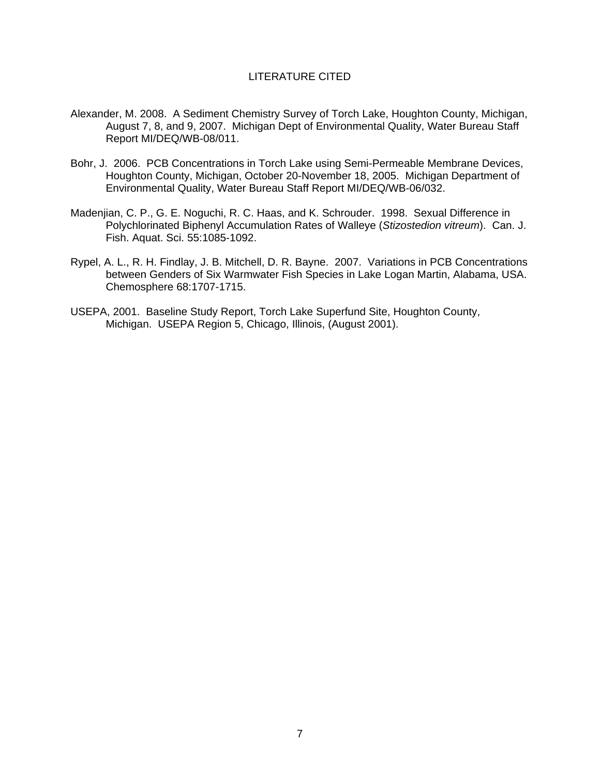## LITERATURE CITED

- Alexander, M. 2008. A Sediment Chemistry Survey of Torch Lake, Houghton County, Michigan, August 7, 8, and 9, 2007. Michigan Dept of Environmental Quality, Water Bureau Staff Report MI/DEQ/WB-08/011.
- Bohr, J. 2006. PCB Concentrations in Torch Lake using Semi-Permeable Membrane Devices, Houghton County, Michigan, October 20-November 18, 2005. Michigan Department of Environmental Quality, Water Bureau Staff Report MI/DEQ/WB-06/032.
- Madenjian, C. P., G. E. Noguchi, R. C. Haas, and K. Schrouder. 1998. Sexual Difference in Polychlorinated Biphenyl Accumulation Rates of Walleye (*Stizostedion vitreum*). Can. J. Fish. Aquat. Sci. 55:1085-1092.
- Rypel, A. L., R. H. Findlay, J. B. Mitchell, D. R. Bayne. 2007. Variations in PCB Concentrations between Genders of Six Warmwater Fish Species in Lake Logan Martin, Alabama, USA. Chemosphere 68:1707-1715.
- USEPA, 2001. Baseline Study Report, Torch Lake Superfund Site, Houghton County, Michigan. USEPA Region 5, Chicago, Illinois, (August 2001).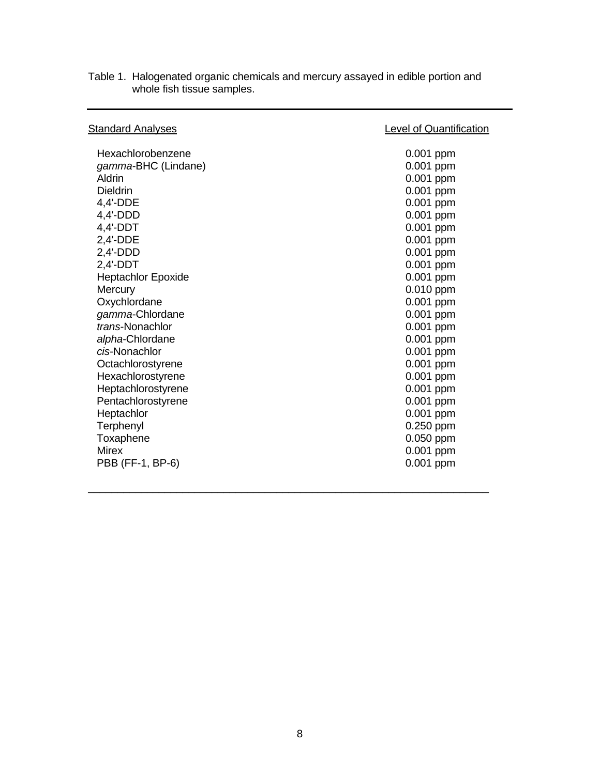| <b>Standard Analyses</b>  | <b>Level of Quantification</b> |
|---------------------------|--------------------------------|
| Hexachlorobenzene         | 0.001 ppm                      |
| gamma-BHC (Lindane)       | 0.001 ppm                      |
| Aldrin                    | 0.001 ppm                      |
| <b>Dieldrin</b>           | 0.001 ppm                      |
| $4,4'$ -DDE               | 0.001 ppm                      |
| $4.4'$ -DDD               | 0.001 ppm                      |
| $4,4'-DDT$                | 0.001 ppm                      |
| 2,4'-DDE                  | 0.001 ppm                      |
| $2,4'$ -DDD               | 0.001 ppm                      |
| $2,4'-DDT$                | $0.001$ ppm                    |
| <b>Heptachlor Epoxide</b> | 0.001 ppm                      |
| Mercury                   | $0.010$ ppm                    |
| Oxychlordane              | 0.001 ppm                      |
| gamma-Chlordane           | 0.001 ppm                      |
| trans-Nonachlor           | 0.001 ppm                      |
| alpha-Chlordane           | 0.001 ppm                      |
| cis-Nonachlor             | 0.001 ppm                      |
| Octachlorostyrene         | 0.001 ppm                      |
| Hexachlorostyrene         | 0.001 ppm                      |
| Heptachlorostyrene        | 0.001 ppm                      |
| Pentachlorostyrene        | 0.001 ppm                      |
| Heptachlor                | 0.001 ppm                      |
| Terphenyl                 | 0.250 ppm                      |
| Toxaphene                 | 0.050 ppm                      |
| <b>Mirex</b>              | 0.001 ppm                      |
| PBB (FF-1, BP-6)          | 0.001 ppm                      |
|                           |                                |

\_\_\_\_\_\_\_\_\_\_\_\_\_\_\_\_\_\_\_\_\_\_\_\_\_\_\_\_\_\_\_\_\_\_\_\_\_\_\_\_\_\_\_\_\_\_\_\_\_\_\_\_\_\_\_\_\_\_\_\_\_\_\_\_\_\_\_\_

Table 1. Halogenated organic chemicals and mercury assayed in edible portion and whole fish tissue samples.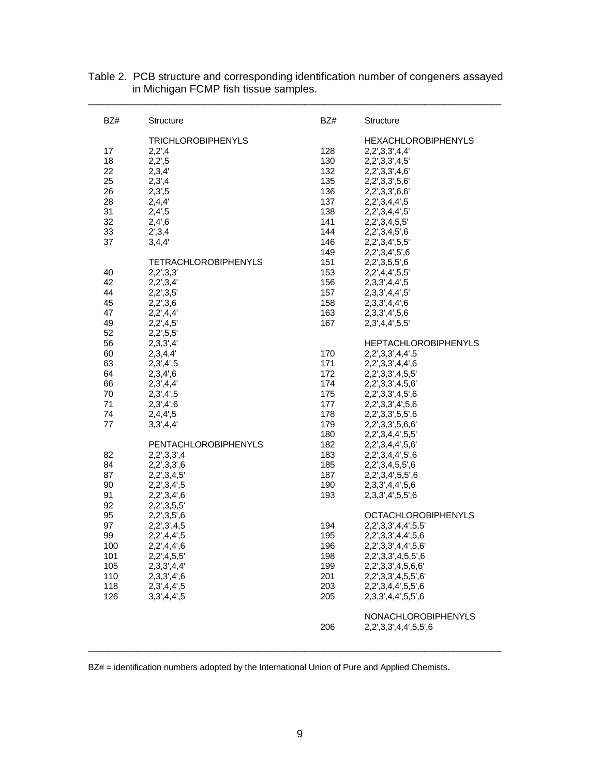| BZ#      | <b>Structure</b>            | BZ#        | <b>Structure</b>                          |
|----------|-----------------------------|------------|-------------------------------------------|
|          | <b>TRICHLOROBIPHENYLS</b>   |            | <b>HEXACHLOROBIPHENYLS</b>                |
| 17       | 2,2,4                       | 128        | 2,2',3,3',4,4'                            |
| 18       | 2,2,5                       | 130        | 2,2',3,3',4,5'                            |
| 22       | 2,3,4'                      | 132        | 2,2',3,3',4,6'                            |
| 25       | 2,3,4                       | 135        | 2,2',3,3',5,6'                            |
| 26       | 2,3,5                       | 136        | 2,2',3,3',6,6'                            |
| 28       | 2,4,4'                      | 137        | 2,2',3,4,4',5                             |
| 31       | 2,4,5                       | 138        | 2,2',3,4,4',5'                            |
| 32       | 2,4,6                       | 141        | 2,2',3,4,5,5'                             |
| 33       | 2',3,4                      | 144        | 2,2',3,4,5',6                             |
| 37       | 3,4,4'                      | 146        | 2,2',3,4',5,5'                            |
|          |                             | 149        | 2,2',3,4',5',6                            |
|          | <b>TETRACHLOROBIPHENYLS</b> | 151        | 2,2',3,5,5',6                             |
| 40       | 2,2',3,3'                   | 153        | 2,2',4,4',5,5'                            |
| 42       | 2,2',3,4'                   | 156        | 2,3,3',4,4',5                             |
| 44       | 2,2',3,5'                   | 157        | 2,3,3',4,4',5'                            |
| 45       | 2,2',3,6                    | 158        | 2,3,3',4,4',6                             |
| 47       | 2,2',4,4'                   | 163        | 2,3,3',4',5,6                             |
| 49       | 2,2',4,5'                   | 167        | 2,3',4,4',5,5'                            |
| 52       | 2,2',5,5'                   |            |                                           |
| 56       | 2,3,3',4'                   |            | <b>HEPTACHLOROBIPHENYLS</b>               |
| 60       | 2,3,4,4'                    | 170        | 2,2',3,3',4,4',5                          |
| 63       | 2,3,4,5                     | 171        | 2,2',3,3',4,4',6                          |
| 64       | 2,3,4,6                     | 172        | 2,2',3,3',4,5,5'                          |
| 66       | 2,3,4,4'                    | 174        | 2,2',3,3',4,5,6'                          |
| 70       | 2,3,4,5                     | 175        | 2,2',3,3',4,5',6                          |
| 71       | 2,3',4',6                   | 177        | 2,2',3,3',4',5,6                          |
| 74       | 2,4,4,5                     | 178        | 2,2',3,3',5,5',6                          |
| 77       | 3,3',4,4'                   | 179        | 2,2',3,3',5,6,6'                          |
|          |                             | 180        | 2,2',3,4,4',5,5'                          |
|          | PENTACHLOROBIPHENYLS        | 182        | 2,2',3,4,4',5,6'                          |
| 82       | 2,2',3,3',4                 | 183        | 2,2',3,4,4',5',6                          |
| 84       | 2,2',3,3',6                 | 185        | 2,2',3,4,5,5',6                           |
| 87       | 2,2',3,4,5'                 | 187        | 2,2',3,4',5,5',6                          |
| 90       | 2,2',3,4',5                 | 190        | 2,3,3',4,4',5,6                           |
| 91       | 2,2',3,4',6                 | 193        | 2,3,3',4',5,5',6                          |
| 92       | 2,2',3,5,5'                 |            | <b>OCTACHLOROBIPHENYLS</b>                |
| 95       | 2,2',3,5',6                 |            |                                           |
| 97<br>99 | 2,2',3',4,5                 | 194<br>195 | 2,2',3,3',4,4',5,5'                       |
| 100      | 2,2,4,4,5<br>2,2',4,4',6    | 196        | 2,2',3,3',4,4',5,6<br>2,2',3,3',4,4',5,6' |
| 101      | 2,2',4,5,5'                 | 198        | 2,2',3,3',4,5,5',6                        |
| 105      | 2,3,3',4,4'                 | 199        | 2,2',3,3',4,5,6,6'                        |
| 110      | 2,3,3',4',6                 | 201        | 2,2',3,3',4,5,5',6'                       |
| 118      | 2,3',4,4',5                 | 203        | 2,2',3,4,4',5,5',6                        |
| 126      | 3,3',4,4',5                 | 205        | 2,3,3',4,4',5,5',6                        |
|          |                             |            |                                           |
|          |                             |            | NONACHLOROBIPHENYLS                       |
|          |                             | 206        | 2,2',3,3',4,4',5,5',6                     |
|          |                             |            |                                           |
|          |                             |            |                                           |

Table 2. PCB structure and corresponding identification number of congeners assayed in Michigan FCMP fish tissue samples. \_\_\_\_\_\_\_\_\_\_\_\_\_\_\_\_\_\_\_\_\_\_\_\_\_\_\_\_\_\_\_\_\_\_\_\_\_\_\_\_\_\_\_\_\_\_\_\_\_\_\_\_\_\_\_\_\_\_\_\_\_\_\_\_\_\_\_\_\_\_\_\_\_\_\_\_\_\_\_\_\_\_\_\_\_\_

BZ# = identification numbers adopted by the International Union of Pure and Applied Chemists.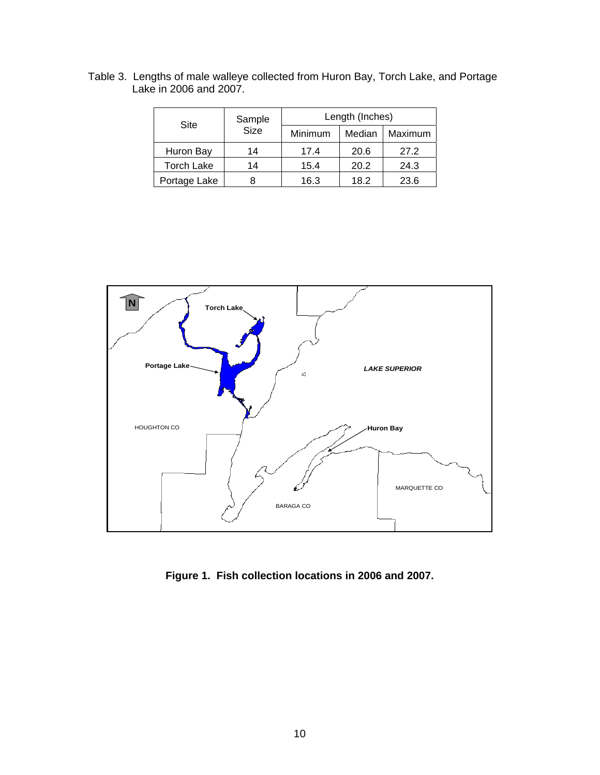| Table 3. Lengths of male walleye collected from Huron Bay, Torch Lake, and Portage |  |  |
|------------------------------------------------------------------------------------|--|--|
| Lake in 2006 and 2007.                                                             |  |  |

| Site              | Sample      | Length (Inches) |        |         |  |  |  |  |  |  |
|-------------------|-------------|-----------------|--------|---------|--|--|--|--|--|--|
|                   | <b>Size</b> | Minimum         | Median | Maximum |  |  |  |  |  |  |
| Huron Bay         | 14          | 17.4            | 20.6   | 27.2    |  |  |  |  |  |  |
| <b>Torch Lake</b> | 14          | 15.4            | 20.2   | 24.3    |  |  |  |  |  |  |
| Portage Lake      | 8           | 16.3            | 18.2   | 23.6    |  |  |  |  |  |  |



**Figure 1. Fish collection locations in 2006 and 2007.**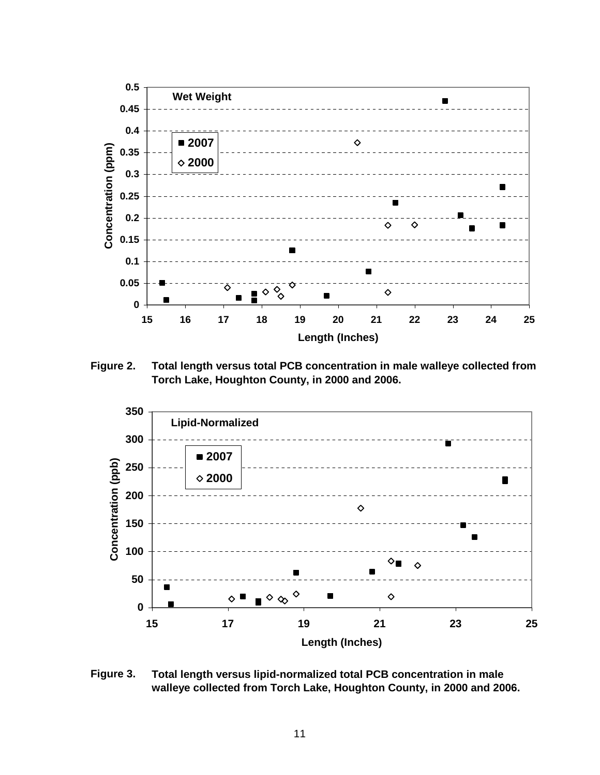

**Figure 2. Total length versus total PCB concentration in male walleye collected from Torch Lake, Houghton County, in 2000 and 2006.**



**Figure 3. Total length versus lipid-normalized total PCB concentration in male walleye collected from Torch Lake, Houghton County, in 2000 and 2006.**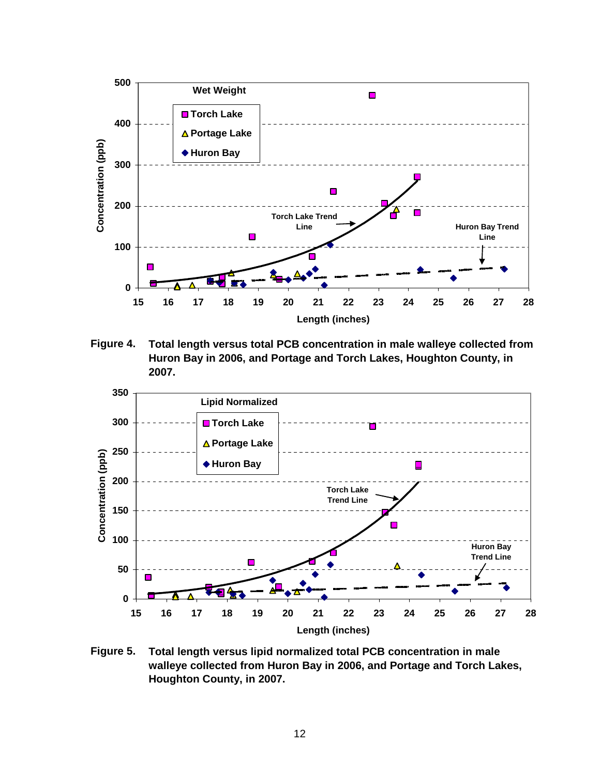

**Figure 4. Total length versus total PCB concentration in male walleye collected from Huron Bay in 2006, and Portage and Torch Lakes, Houghton County, in 2007.**



**Figure 5. Total length versus lipid normalized total PCB concentration in male walleye collected from Huron Bay in 2006, and Portage and Torch Lakes, Houghton County, in 2007.**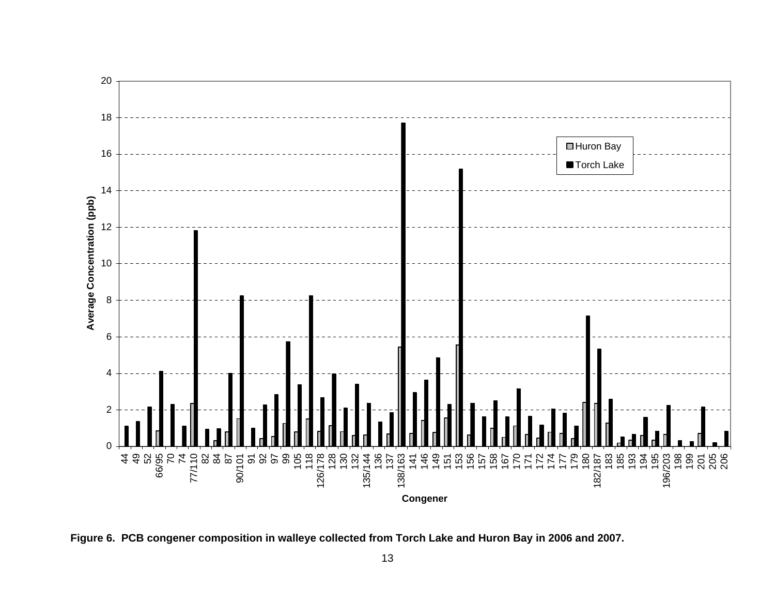

**Figure 6. PCB congener composition in walleye collected from Torch Lake and Huron Bay in 2006 and 2007.**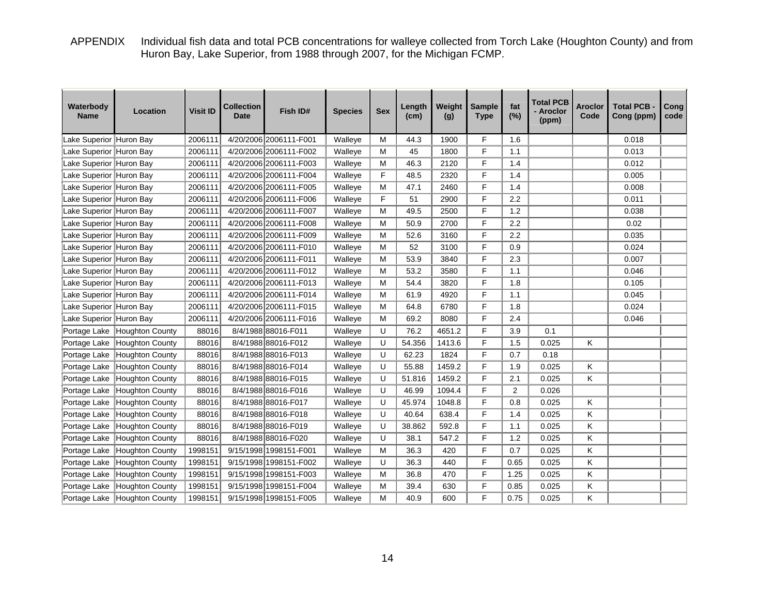APPENDIX Individual fish data and total PCB concentrations for walleye collected from Torch Lake (Houghton County) and from Huron Bay, Lake Superior, from 1988 through 2007, for the Michigan FCMP.

| Waterbody<br><b>Name</b> | Location                     | <b>Visit ID</b> | <b>Collection</b><br><b>Date</b> | Fish ID#               | <b>Species</b> | <b>Sex</b>  | Length<br>(cm) | Weight<br>(g) | <b>Sample</b><br><b>Type</b> | fat<br>(%)     | <b>Total PCB</b><br>- Aroclor<br>(ppm) | Aroclor<br>Code | <b>Total PCB</b><br>Cong (ppm) | Cong<br>code |
|--------------------------|------------------------------|-----------------|----------------------------------|------------------------|----------------|-------------|----------------|---------------|------------------------------|----------------|----------------------------------------|-----------------|--------------------------------|--------------|
| Lake Superior Huron Bay  |                              | 2006111         |                                  | 4/20/2006 2006111-F001 | Walleye        | M           | 44.3           | 1900          | F                            | 1.6            |                                        |                 | 0.018                          |              |
| Lake Superior Huron Bay  |                              | 2006111         |                                  | 4/20/2006 2006111-F002 | Walleye        | M           | 45             | 1800          | F                            | 1.1            |                                        |                 | 0.013                          |              |
| Lake Superior Huron Bay  |                              | 2006111         |                                  | 4/20/2006 2006111-F003 | Walleye        | M           | 46.3           | 2120          | F                            | 1.4            |                                        |                 | 0.012                          |              |
| Lake Superior Huron Bay  |                              | 2006111         |                                  | 4/20/2006 2006111-F004 | Walleye        | F           | 48.5           | 2320          | F                            | 1.4            |                                        |                 | 0.005                          |              |
| Lake Superior Huron Bay  |                              | 2006111         |                                  | 4/20/2006 2006111-F005 | Walleye        | M           | 47.1           | 2460          | $\mathsf F$                  | 1.4            |                                        |                 | 0.008                          |              |
| Lake Superior Huron Bay  |                              | 2006111         |                                  | 4/20/2006 2006111-F006 | Walleye        | $\mathsf F$ | 51             | 2900          | F                            | 2.2            |                                        |                 | 0.011                          |              |
| Lake Superior Huron Bay  |                              | 2006111         |                                  | 4/20/2006 2006111-F007 | Walleye        | M           | 49.5           | 2500          | F                            | 1.2            |                                        |                 | 0.038                          |              |
| Lake Superior Huron Bay  |                              | 2006111         |                                  | 4/20/2006 2006111-F008 | Walleye        | M           | 50.9           | 2700          | F                            | 2.2            |                                        |                 | 0.02                           |              |
| Lake Superior Huron Bay  |                              | 2006111         |                                  | 4/20/2006 2006111-F009 | Walleye        | M           | 52.6           | 3160          | F                            | 2.2            |                                        |                 | 0.035                          |              |
| Lake Superior Huron Bay  |                              | 2006111         |                                  | 4/20/2006 2006111-F010 | Walleye        | M           | 52             | 3100          | F                            | 0.9            |                                        |                 | 0.024                          |              |
| Lake Superior Huron Bay  |                              | 2006111         |                                  | 4/20/2006 2006111-F011 | Walleye        | M           | 53.9           | 3840          | F                            | 2.3            |                                        |                 | 0.007                          |              |
| Lake Superior Huron Bay  |                              | 2006111         |                                  | 4/20/2006 2006111-F012 | Walleye        | M           | 53.2           | 3580          | F                            | 1.1            |                                        |                 | 0.046                          |              |
| Lake Superior Huron Bay  |                              | 2006111         |                                  | 4/20/2006 2006111-F013 | Walleye        | M           | 54.4           | 3820          | F                            | 1.8            |                                        |                 | 0.105                          |              |
| Lake Superior Huron Bay  |                              | 2006111         |                                  | 4/20/2006 2006111-F014 | Walleye        | M           | 61.9           | 4920          | F                            | 1.1            |                                        |                 | 0.045                          |              |
| Lake Superior Huron Bay  |                              | 2006111         |                                  | 4/20/2006 2006111-F015 | Walleye        | M           | 64.8           | 6780          | F                            | 1.8            |                                        |                 | 0.024                          |              |
| Lake Superior Huron Bay  |                              | 2006111         |                                  | 4/20/2006 2006111-F016 | Walleye        | M           | 69.2           | 8080          | F                            | 2.4            |                                        |                 | 0.046                          |              |
| Portage Lake             | Houghton County              | 88016           |                                  | 8/4/1988 88016-F011    | Walleye        | U           | 76.2           | 4651.2        | F                            | 3.9            | 0.1                                    |                 |                                |              |
| Portage Lake             | <b>Houghton County</b>       | 88016           |                                  | 8/4/1988 88016-F012    | Walleye        | U           | 54.356         | 1413.6        | F                            | 1.5            | 0.025                                  | Κ               |                                |              |
| Portage Lake             | Houghton County              | 88016           |                                  | 8/4/1988 88016-F013    | Walleye        | U           | 62.23          | 1824          | F                            | 0.7            | 0.18                                   |                 |                                |              |
| Portage Lake             | Houghton County              | 88016           |                                  | 8/4/1988 88016-F014    | Walleye        | U           | 55.88          | 1459.2        | F                            | 1.9            | 0.025                                  | Κ               |                                |              |
| Portage Lake             | Houghton County              | 88016           |                                  | 8/4/1988 88016-F015    | Walleye        | U           | 51.816         | 1459.2        | F                            | 2.1            | 0.025                                  | Κ               |                                |              |
| Portage Lake             | Houghton County              | 88016           |                                  | 8/4/1988 88016-F016    | Walleye        | U           | 46.99          | 1094.4        | F                            | $\overline{2}$ | 0.026                                  |                 |                                |              |
| Portage Lake             | Houghton County              | 88016           |                                  | 8/4/1988 88016-F017    | Walleye        | U           | 45.974         | 1048.8        | F                            | 0.8            | 0.025                                  | Κ               |                                |              |
| Portage Lake             | Houghton County              | 88016           |                                  | 8/4/1988 88016-F018    | Walleye        | U           | 40.64          | 638.4         | F                            | 1.4            | 0.025                                  | Κ               |                                |              |
| Portage Lake             | Houghton County              | 88016           |                                  | 8/4/1988 88016-F019    | Walleye        | U           | 38.862         | 592.8         | F                            | 1.1            | 0.025                                  | Κ               |                                |              |
| Portage Lake             | Houghton County              | 88016           |                                  | 8/4/1988 88016-F020    | Walleye        | U           | 38.1           | 547.2         | F                            | 1.2            | 0.025                                  | K               |                                |              |
| Portage Lake             | Houghton County              | 1998151         |                                  | 9/15/1998 1998151-F001 | Walleye        | M           | 36.3           | 420           | F                            | 0.7            | 0.025                                  | K               |                                |              |
| Portage Lake             | <b>Houghton County</b>       | 1998151         |                                  | 9/15/1998 1998151-F002 | Walleye        | U           | 36.3           | 440           | F                            | 0.65           | 0.025                                  | Κ               |                                |              |
| Portage Lake             | Houghton County              | 1998151         |                                  | 9/15/1998 1998151-F003 | Walleye        | M           | 36.8           | 470           | F                            | 1.25           | 0.025                                  | Κ               |                                |              |
| Portage Lake             | Houghton County              | 1998151         |                                  | 9/15/1998 1998151-F004 | Walleye        | M           | 39.4           | 630           | F                            | 0.85           | 0.025                                  | Κ               |                                |              |
|                          | Portage Lake Houghton County | 1998151         |                                  | 9/15/1998 1998151-F005 | Walleye        | M           | 40.9           | 600           | F                            | 0.75           | 0.025                                  | Κ               |                                |              |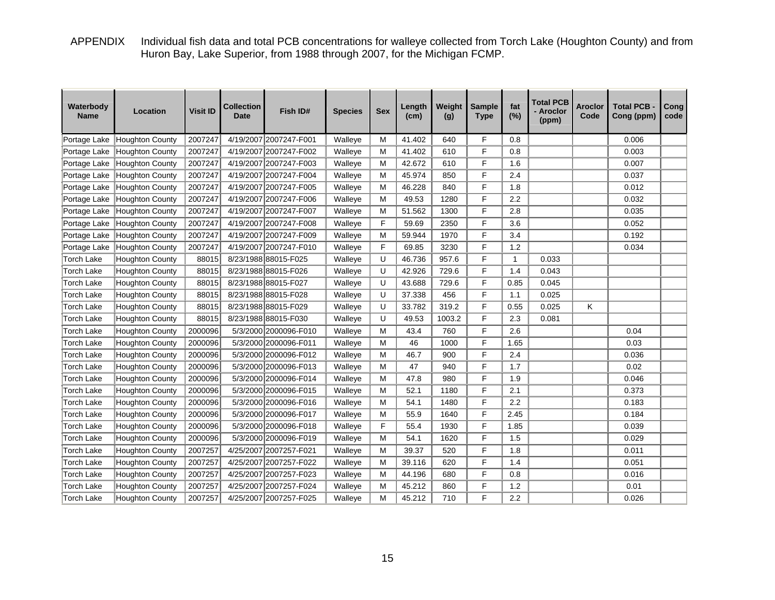APPENDIX Individual fish data and total PCB concentrations for walleye collected from Torch Lake (Houghton County) and from Huron Bay, Lake Superior, from 1988 through 2007, for the Michigan FCMP.

| Waterbody<br><b>Name</b> | Location               | <b>Visit ID</b> | Collection<br><b>Date</b> | Fish ID#               | <b>Species</b> | <b>Sex</b> | Length<br>(cm) | Weight<br>(g) | <b>Sample</b><br><b>Type</b> | fat<br>(%)   | <b>Total PCB</b><br>- Aroclor<br>(ppm) | Aroclor<br>Code | <b>Total PCB</b><br>Cong (ppm) | Cong<br>code |
|--------------------------|------------------------|-----------------|---------------------------|------------------------|----------------|------------|----------------|---------------|------------------------------|--------------|----------------------------------------|-----------------|--------------------------------|--------------|
| Portage Lake             | Houghton County        | 2007247         |                           | 4/19/2007 2007247-F001 | Walleye        | M          | 41.402         | 640           | F                            | 0.8          |                                        |                 | 0.006                          |              |
| Portage Lake             | Houghton County        | 2007247         |                           | 4/19/2007 2007247-F002 | Walleye        | M          | 41.402         | 610           | F                            | 0.8          |                                        |                 | 0.003                          |              |
| Portage Lake             | <b>Houghton County</b> | 2007247         |                           | 4/19/2007 2007247-F003 | Walleye        | M          | 42.672         | 610           | F                            | 1.6          |                                        |                 | 0.007                          |              |
| Portage Lake             | <b>Houghton County</b> | 2007247         |                           | 4/19/2007 2007247-F004 | Walleye        | M          | 45.974         | 850           | F                            | 2.4          |                                        |                 | 0.037                          |              |
| Portage Lake             | <b>Houghton County</b> | 2007247         |                           | 4/19/2007 2007247-F005 | Walleye        | M          | 46.228         | 840           | F                            | 1.8          |                                        |                 | 0.012                          |              |
| Portage Lake             | <b>Houghton County</b> | 2007247         |                           | 4/19/2007 2007247-F006 | Walleye        | M          | 49.53          | 1280          | F                            | 2.2          |                                        |                 | 0.032                          |              |
| Portage Lake             | <b>Houghton County</b> | 2007247         |                           | 4/19/2007 2007247-F007 | Walleye        | М          | 51.562         | 1300          | F                            | 2.8          |                                        |                 | 0.035                          |              |
| Portage Lake             | <b>Houghton County</b> | 2007247         |                           | 4/19/2007 2007247-F008 | Walleye        | F          | 59.69          | 2350          | F                            | 3.6          |                                        |                 | 0.052                          |              |
| Portage Lake             | <b>Houghton County</b> | 2007247         |                           | 4/19/2007 2007247-F009 | Walleye        | M          | 59.944         | 1970          | F                            | 3.4          |                                        |                 | 0.192                          |              |
| Portage Lake             | <b>Houghton County</b> | 2007247         |                           | 4/19/2007 2007247-F010 | Walleye        | F          | 69.85          | 3230          | F                            | 1.2          |                                        |                 | 0.034                          |              |
| <b>Torch Lake</b>        | Houghton County        | 88015           |                           | 8/23/1988 88015-F025   | Walleye        | U          | 46.736         | 957.6         | F                            | $\mathbf{1}$ | 0.033                                  |                 |                                |              |
| <b>Torch Lake</b>        | <b>Houghton County</b> | 88015           |                           | 8/23/1988 88015-F026   | Walleye        | U          | 42.926         | 729.6         | F                            | 1.4          | 0.043                                  |                 |                                |              |
| <b>Torch Lake</b>        | <b>Houghton County</b> | 88015           |                           | 8/23/1988 88015-F027   | Walleye        | U          | 43.688         | 729.6         | F                            | 0.85         | 0.045                                  |                 |                                |              |
| <b>Torch Lake</b>        | <b>Houghton County</b> | 88015           |                           | 8/23/1988 88015-F028   | Walleye        | U          | 37.338         | 456           | F                            | 1.1          | 0.025                                  |                 |                                |              |
| <b>Torch Lake</b>        | <b>Houghton County</b> | 88015           |                           | 8/23/1988 88015-F029   | Walleye        | U          | 33.782         | 319.2         | F                            | 0.55         | 0.025                                  | Κ               |                                |              |
| <b>Torch Lake</b>        | <b>Houghton County</b> | 88015           |                           | 8/23/1988 88015-F030   | Walleye        | U          | 49.53          | 1003.2        | F                            | 2.3          | 0.081                                  |                 |                                |              |
| <b>Torch Lake</b>        | <b>Houghton County</b> | 2000096         |                           | 5/3/2000 2000096-F010  | Walleye        | М          | 43.4           | 760           | F                            | 2.6          |                                        |                 | 0.04                           |              |
| <b>Torch Lake</b>        | <b>Houghton County</b> | 2000096         |                           | 5/3/2000 2000096-F011  | Walleye        | M          | 46             | 1000          | F                            | 1.65         |                                        |                 | 0.03                           |              |
| <b>Torch Lake</b>        | <b>Houghton County</b> | 2000096         |                           | 5/3/2000 2000096-F012  | Walleye        | M          | 46.7           | 900           | F                            | 2.4          |                                        |                 | 0.036                          |              |
| <b>Torch Lake</b>        | <b>Houghton County</b> | 2000096         |                           | 5/3/2000 2000096-F013  | Walleye        | М          | 47             | 940           | F                            | 1.7          |                                        |                 | 0.02                           |              |
| <b>Torch Lake</b>        | Houghton County        | 2000096         |                           | 5/3/2000 2000096-F014  | Walleye        | M          | 47.8           | 980           | F                            | 1.9          |                                        |                 | 0.046                          |              |
| <b>Torch Lake</b>        | <b>Houghton County</b> | 2000096         |                           | 5/3/2000 2000096-F015  | Walleye        | M          | 52.1           | 1180          | F                            | 2.1          |                                        |                 | 0.373                          |              |
| <b>Torch Lake</b>        | <b>Houghton County</b> | 2000096         |                           | 5/3/2000 2000096-F016  | Walleye        | M          | 54.1           | 1480          | F                            | 2.2          |                                        |                 | 0.183                          |              |
| <b>Torch Lake</b>        | Houghton County        | 2000096         |                           | 5/3/2000 2000096-F017  | Walleye        | M          | 55.9           | 1640          | F                            | 2.45         |                                        |                 | 0.184                          |              |
| <b>Torch Lake</b>        | <b>Houghton County</b> | 2000096         |                           | 5/3/2000 2000096-F018  | Walleye        | F          | 55.4           | 1930          | F                            | 1.85         |                                        |                 | 0.039                          |              |
| <b>Torch Lake</b>        | <b>Houghton County</b> | 2000096         |                           | 5/3/2000 2000096-F019  | Walleye        | M          | 54.1           | 1620          | F                            | 1.5          |                                        |                 | 0.029                          |              |
| <b>Torch Lake</b>        | Houghton County        | 2007257         |                           | 4/25/2007 2007257-F021 | Walleye        | M          | 39.37          | 520           | F                            | 1.8          |                                        |                 | 0.011                          |              |
| <b>Torch Lake</b>        | <b>Houghton County</b> | 2007257         |                           | 4/25/2007 2007257-F022 | Walleye        | M          | 39.116         | 620           | F                            | 1.4          |                                        |                 | 0.051                          |              |
| <b>Torch Lake</b>        | <b>Houghton County</b> | 2007257         |                           | 4/25/2007 2007257-F023 | Walleye        | М          | 44.196         | 680           | F                            | 0.8          |                                        |                 | 0.016                          |              |
| <b>Torch Lake</b>        | <b>Houghton County</b> | 2007257         |                           | 4/25/2007 2007257-F024 | Walleye        | M          | 45.212         | 860           | F                            | 1.2          |                                        |                 | 0.01                           |              |
| <b>Torch Lake</b>        | Houghton County        | 2007257         |                           | 4/25/2007 2007257-F025 | Walleye        | M          | 45.212         | 710           | F                            | 2.2          |                                        |                 | 0.026                          |              |